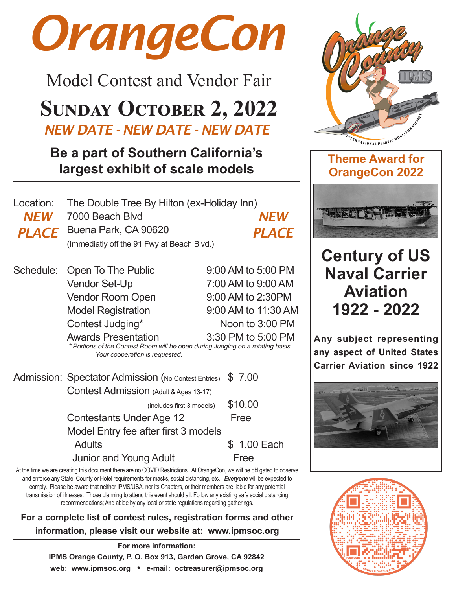# *OrangeCon*

Model Contest and Vendor Fair

## **Sunday October 2, 2022**

*NEW DATE - NEW DATE - NEW DATE*

### **Be a part of Southern California's largest exhibit of scale models**

| Location: The Double Tree By Hilton (ex-Holiday Inn) |              |
|------------------------------------------------------|--------------|
| <b>NEW</b> 7000 Beach Blvd                           | <b>NEW</b>   |
| <b>PLACE</b> Buena Park, CA 90620                    | <b>PLACE</b> |
| (Immediatly off the 91 Fwy at Beach Blvd.)           |              |

Schedule: Open To The Public 9:00 AM to 5:00 PM Vendor Set-Up 7:00 AM to 9:00 AM Vendor Room Open 9:00 AM to 2:30PM Model Registration 9:00 AM to 11:30 AM Contest Judging\* Noon to 3:00 PM Awards Presentation 3:30 PM to 5:00 PM *\* Portions of the Contest Room will be open during Judging on a rotating basis. Your cooperation is requested.*

Admission: Spectator Admission (No Contest Entries) \$7.00 Contest Admission (Adult & Ages 13-17) (includes first 3 models)  $$10.00$ Contestants Under Age 12 Free Model Entry fee after first 3 models Adults \$ 1.00 Each

Junior and Young Adult Free



At the time we are creating this document there are no COVID Restrictions. At OrangeCon, we will be obligated to observe and enforce any State, County or Hotel requirements for masks, social distancing, etc. *Everyone* will be expected to comply. Please be aware that neither IPMS/USA, nor its Chapters, or their members are liable for any potential transmission of illnesses. Those planning to attend this event should all: Follow any existing safe social distancing recommendations; And abide by any local or state regulations regarding gatherings.

**For a complete list of contest rules, registration forms and other information, please visit our website at: www.ipmsoc.org**

> **For more information: IPMS Orange County, P. O. Box 913, Garden Grove, CA 92842 web: www.ipmsoc.org • e-mail: octreasurer@ipmsoc.org**





## **Century of US Naval Carrier Aviation 1922 - 2022**

**Any subject representing any aspect of United States Carrier Aviation since 1922**